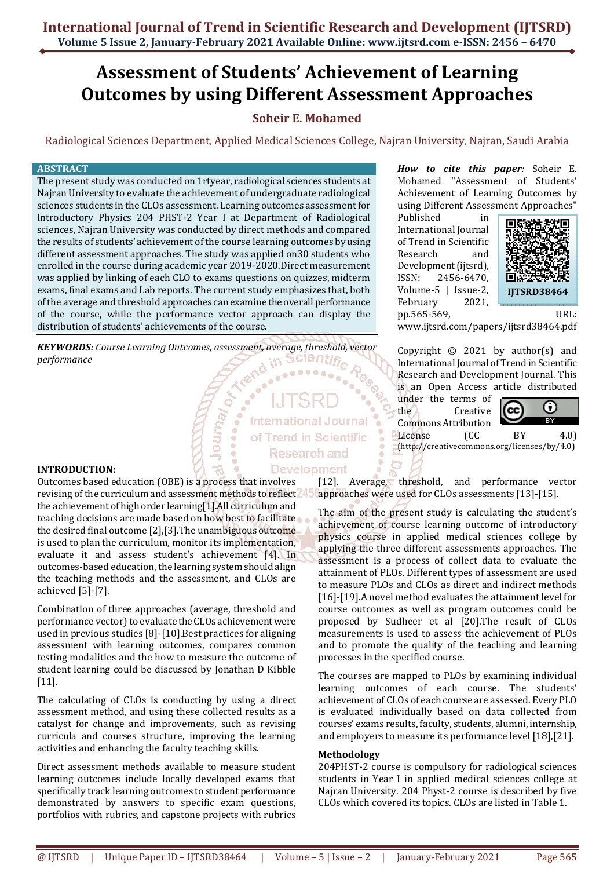# **Assessment of Students' Achievement of Learning Outcomes by using Different Assessment Approaches**

## **Soheir E. Mohamed**

Radiological Sciences Department, Applied Medical Sciences College, Najran University, Najran, Saudi Arabia

### **ABSTRACT**

The present study was conducted on 1rtyear, radiological sciences students at Najran University to evaluate the achievement of undergraduate radiological sciences students in the CLOs assessment. Learning outcomes assessment for Introductory Physics 204 PHST-2 Year I at Department of Radiological sciences, Najran University was conducted by direct methods and compared the results of students' achievement of the course learning outcomes by using different assessment approaches. The study was applied on30 students who enrolled in the course during academic year 2019-2020.Direct measurement was applied by linking of each CLO to exams questions on quizzes, midterm exams, final exams and Lab reports. The current study emphasizes that, both of the average and threshold approaches can examine the overall performance of the course, while the performance vector approach can display the distribution of students' achievements of the course.

*KEYWORDS: Course Learning Outcomes, assessment, average, threshold, vector performance* 

, <sup>/e</sup>unol

**International Journal** of Trend in Scientific **Research and Development** 

**INTRODUCTION:**

Outcomes based education (OBE) is a process that involves revising of the curriculum and assessment methods to reflect<sup>245</sup> the achievement of high order learning[1].All curriculum and teaching decisions are made based on how best to facilitate the desired final outcome [2],[3].The unambiguous outcome is used to plan the curriculum, monitor its implementation, evaluate it and assess student's achievement [4]. In outcomes-based education, the learning system should align the teaching methods and the assessment, and CLOs are achieved [5]-[7].

Combination of three approaches (average, threshold and performance vector) to evaluate the CLOs achievement were used in previous studies [8]-[10].Best practices for aligning assessment with learning outcomes, compares common testing modalities and the how to measure the outcome of student learning could be discussed by Jonathan D Kibble [11].

The calculating of CLOs is conducting by using a direct assessment method, and using these collected results as a catalyst for change and improvements, such as revising curricula and courses structure, improving the learning activities and enhancing the faculty teaching skills.

Direct assessment methods available to measure student learning outcomes include locally developed exams that specifically track learning outcomes to student performance demonstrated by answers to specific exam questions, portfolios with rubrics, and capstone projects with rubrics

*How to cite this paper:* Soheir E. Mohamed "Assessment of Students' Achievement of Learning Outcomes by using Different Assessment Approaches"

Published in International Journal of Trend in Scientific Research and Development (ijtsrd), ISSN: 2456-6470, Volume-5 | Issue-2, February 2021, pp.565-569, URL:



www.ijtsrd.com/papers/ijtsrd38464.pdf

Copyright  $\odot$  2021 by author(s) and International Journal of Trend in Scientific Research and Development Journal. This is an Open Access article distributed

under the terms of the Creative Commons Attribution<br>License (CC



License (CC BY 4.0) (http://creativecommons.org/licenses/by/4.0)

[12]. Average, threshold, and performance vector approaches were used for CLOs assessments [13]-[15].

The aim of the present study is calculating the student's achievement of course learning outcome of introductory physics course in applied medical sciences college by applying the three different assessments approaches. The assessment is a process of collect data to evaluate the attainment of PLOs. Different types of assessment are used to measure PLOs and CLOs as direct and indirect methods [16]-[19]. A novel method evaluates the attainment level for course outcomes as well as program outcomes could be proposed by Sudheer et al [20].The result of CLOs measurements is used to assess the achievement of PLOs and to promote the quality of the teaching and learning processes in the specified course.

The courses are mapped to PLOs by examining individual learning outcomes of each course. The students' achievement of CLOs of each course are assessed. Every PLO is evaluated individually based on data collected from courses' exams results, faculty, students, alumni, internship, and employers to measure its performance level [18],[21].

## **Methodology**

204PHST-2 course is compulsory for radiological sciences students in Year I in applied medical sciences college at Najran University. 204 Physt-2 course is described by five CLOs which covered its topics. CLOs are listed in Table 1.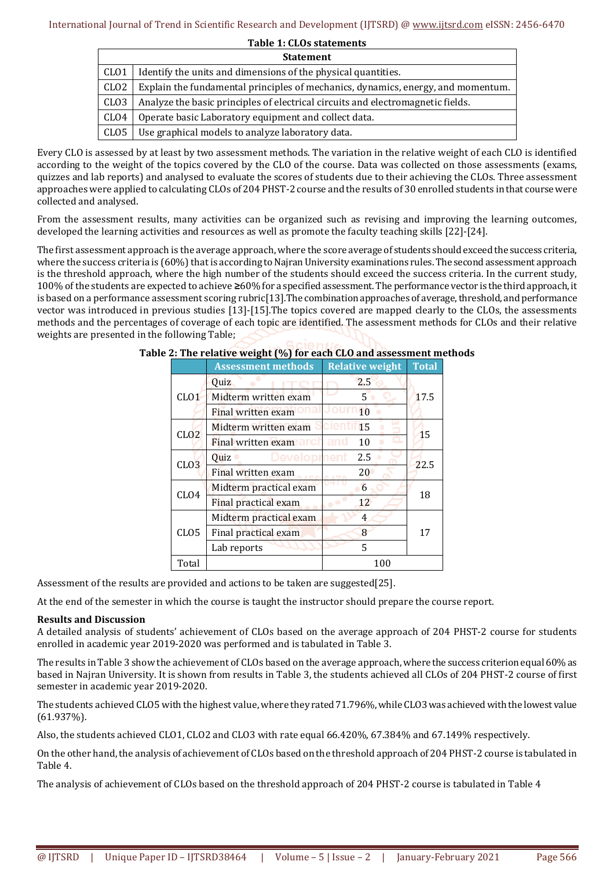**Table 1: CLOs statements** 

|                  | <b>Statement</b>                                                                 |  |  |  |  |  |
|------------------|----------------------------------------------------------------------------------|--|--|--|--|--|
| CLO1             | Identify the units and dimensions of the physical quantities.                    |  |  |  |  |  |
| CLO2             | Explain the fundamental principles of mechanics, dynamics, energy, and momentum. |  |  |  |  |  |
| CL <sub>03</sub> | Analyze the basic principles of electrical circuits and electromagnetic fields.  |  |  |  |  |  |
| CLO4             | Operate basic Laboratory equipment and collect data.                             |  |  |  |  |  |
| CLO5             | Use graphical models to analyze laboratory data.                                 |  |  |  |  |  |

Every CLO is assessed by at least by two assessment methods. The variation in the relative weight of each CLO is identified according to the weight of the topics covered by the CLO of the course. Data was collected on those assessments (exams, quizzes and lab reports) and analysed to evaluate the scores of students due to their achieving the CLOs. Three assessment approaches were applied to calculating CLOs of 204 PHST-2 course and the results of 30 enrolled students in that course were collected and analysed.

From the assessment results, many activities can be organized such as revising and improving the learning outcomes, developed the learning activities and resources as well as promote the faculty teaching skills [22]-[24].

The first assessment approach is the average approach, where the score average of students should exceed the success criteria, where the success criteria is (60%) that is according to Najran University examinations rules. The second assessment approach is the threshold approach, where the high number of the students should exceed the success criteria. In the current study, 100% of the students are expected to achieve **≥**60% for a specified assessment. The performance vector is the third approach, it is based on a performance assessment scoring rubric[13].The combination approaches of average, threshold, and performance vector was introduced in previous studies [13]-[15].The topics covered are mapped clearly to the CLOs, the assessments methods and the percentages of coverage of each topic are identified. The assessment methods for CLOs and their relative weights are presented in the following Table;

|                  | <b>Assessment methods</b> | <b>Relative weight</b> | <b>Total</b> |
|------------------|---------------------------|------------------------|--------------|
|                  | <b>Ouiz</b>               | 2.5                    |              |
| CLO1             | Midterm written exam      | 5                      | 17.5         |
|                  | Final written exam        | 10                     |              |
| CLO2             | Midterm written exam      | alen<br>15             | 15           |
|                  | Final written exame arch  | and<br>10              |              |
| CLO <sub>3</sub> | Developrhent<br>Quiz      | 2.5                    | 22.5         |
|                  | Final written exam        | 20                     |              |
| CL <sub>04</sub> | Midterm practical exam    | 6                      | 18           |
|                  | Final practical exam      | 12                     |              |
|                  | Midterm practical exam    | 4                      |              |
| CL <sub>05</sub> | Final practical exam      | 8                      | 17           |
|                  | Lab reports               | 5                      |              |
| Total            |                           | 100                    |              |

## **Table 2: The relative weight (%) for each CLO and assessment methods**

Assessment of the results are provided and actions to be taken are suggested[25].

At the end of the semester in which the course is taught the instructor should prepare the course report.

## **Results and Discussion**

A detailed analysis of students' achievement of CLOs based on the average approach of 204 PHST-2 course for students enrolled in academic year 2019-2020 was performed and is tabulated in Table 3.

The results in Table 3 show the achievement of CLOs based on the average approach, where the success criterion equal 60% as based in Najran University. It is shown from results in Table 3, the students achieved all CLOs of 204 PHST-2 course of first semester in academic year 2019-2020.

The students achieved CLO5 with the highest value, where they rated 71.796%, while CLO3 was achieved with the lowest value (61.937%).

Also, the students achieved CLO1, CLO2 and CLO3 with rate equal 66.420%, 67.384% and 67.149% respectively.

On the other hand, the analysis of achievement of CLOs based on the threshold approach of 204 PHST-2 course is tabulated in Table 4.

The analysis of achievement of CLOs based on the threshold approach of 204 PHST-2 course is tabulated in Table 4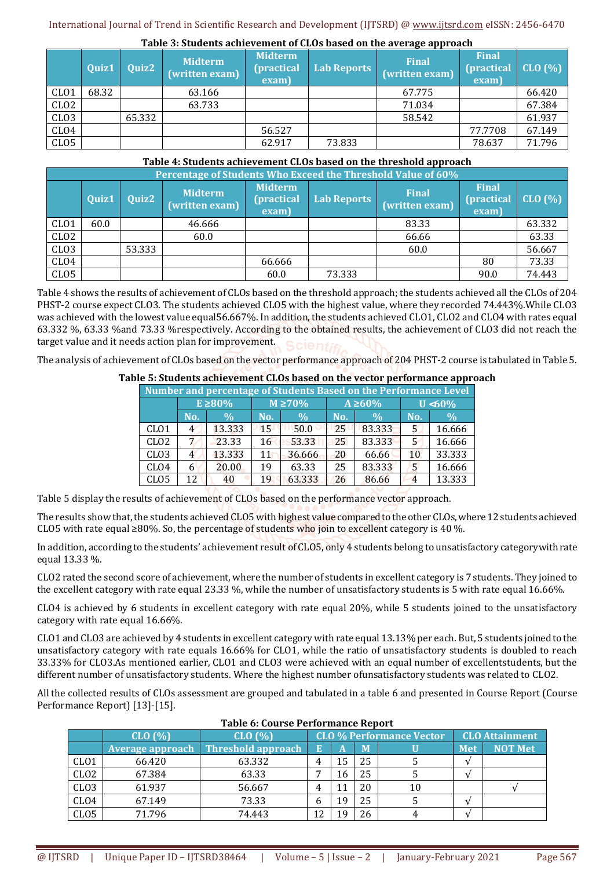|                  |       |        | Tuble of beauches achievement of choo based on the average approach |                                              |             |                                |                                             |        |
|------------------|-------|--------|---------------------------------------------------------------------|----------------------------------------------|-------------|--------------------------------|---------------------------------------------|--------|
|                  | Quiz1 | Quiz2  | <b>Midterm</b><br>(written exam)                                    | <b>Midterm</b><br><i>(practical</i><br>exam) | Lab Reports | <b>Final</b><br>(written exam) | <b>Final</b><br><b>(practical)</b><br>exam) | CLO(%) |
| CL <sub>01</sub> | 68.32 |        | 63.166                                                              |                                              |             | 67.775                         |                                             | 66.420 |
| CLO <sub>2</sub> |       |        | 63.733                                                              |                                              |             | 71.034                         |                                             | 67.384 |
| CLO <sub>3</sub> |       | 65.332 |                                                                     |                                              |             | 58.542                         |                                             | 61.937 |
| CL <sub>04</sub> |       |        |                                                                     | 56.527                                       |             |                                | 77.7708                                     | 67.149 |
| CLO <sub>5</sub> |       |        |                                                                     | 62.917                                       | 73.833      |                                | 78.637                                      | 71.796 |

### **Table 3: Students achievement of CLOs based on the average approach**

## **Table 4: Students achievement CLOs based on the threshold approach**

|                  | Percentage of Students Who Exceed the Threshold Value of 60% |        |                                  |                                               |             |                                |                                     |         |  |  |  |  |
|------------------|--------------------------------------------------------------|--------|----------------------------------|-----------------------------------------------|-------------|--------------------------------|-------------------------------------|---------|--|--|--|--|
|                  | Quiz1                                                        | Quiz2  | <b>Midterm</b><br>(written exam) | <b>Midterm</b><br><i>(practical)</i><br>exam) | Lab Reports | <b>Final</b><br>(written exam) | <b>Final</b><br>(practical<br>exam) | CLO (%) |  |  |  |  |
| CL <sub>01</sub> | 60.0                                                         |        | 46.666                           |                                               |             | 83.33                          |                                     | 63.332  |  |  |  |  |
| CLO <sub>2</sub> |                                                              |        | 60.0                             |                                               |             | 66.66                          |                                     | 63.33   |  |  |  |  |
| CL <sub>03</sub> |                                                              | 53.333 |                                  |                                               |             | 60.0                           |                                     | 56.667  |  |  |  |  |
| CLO4             |                                                              |        |                                  | 66.666                                        |             |                                | 80                                  | 73.33   |  |  |  |  |
| CLO <sub>5</sub> |                                                              |        |                                  | 60.0                                          | 73.333      |                                | 90.0                                | 74.443  |  |  |  |  |

Table 4 shows the results of achievement of CLOs based on the threshold approach; the students achieved all the CLOs of 204 PHST-2 course expect CLO3. The students achieved CLO5 with the highest value, where they recorded 74.443%.While CLO3 was achieved with the lowest value equal56.667%. In addition, the students achieved CLO1, CLO2 and CLO4 with rates equal 63.332 %, 63.33 %and 73.33 %respectively. According to the obtained results, the achievement of CLO3 did not reach the target value and it needs action plan for improvement.

The analysis of achievement of CLOs based on the vector performance approach of 204 PHST-2 course is tabulated in Table 5.

# **Table 5: Students achievement CLOs based on the vector performance approach**

| Number and percentage of Students Based on the Performance Level |              |               |              |               |     |               |            |               |  |  |
|------------------------------------------------------------------|--------------|---------------|--------------|---------------|-----|---------------|------------|---------------|--|--|
|                                                                  | $E \ge 80\%$ |               | $M \ge 70\%$ |               |     | $A \geq 60\%$ | $U < 60\%$ |               |  |  |
|                                                                  | No.          | $\frac{0}{0}$ | No.          | $\frac{0}{0}$ | No. | $\frac{0}{0}$ | No.        | $\frac{0}{0}$ |  |  |
| CL <sub>01</sub>                                                 | 4            | 13.333        | $15 -$       | 50.0          | 25  | 83.333        | 5          | 16.666        |  |  |
| CL <sub>02</sub>                                                 |              | 23.33         | 16           | 53.33         | 25  | 83.333        |            | 16.666        |  |  |
| CL <sub>03</sub>                                                 | 4            | 13.333        | 11           | 36.666        | 20  | 66.66         | 10         | 33.333        |  |  |
| CL <sub>04</sub>                                                 | 6            | 20.00         | 19           | 63.33         | 25  | 83.333        | 5          | 16.666        |  |  |
| CL <sub>05</sub>                                                 | 12           | 40            | 19           | 63.333        | 26  | 86.66         |            | 13.333        |  |  |

Table 5 display the results of achievement of CLOs based on the performance vector approach.

The results show that, the students achieved CLO5 with highest value compared to the other CLOs, where 12 students achieved CLO5 with rate equal ≥80%. So, the percentage of students who join to excellent category is 40 %.

In addition, according to the students' achievement result of CLO5, only 4 students belong to unsatisfactory categorywith rate equal 13.33 %.

CLO2 rated the second score of achievement, where the number of students in excellent category is 7 students. They joined to the excellent category with rate equal 23.33 %, while the number of unsatisfactory students is 5 with rate equal 16.66%.

CLO4 is achieved by 6 students in excellent category with rate equal 20%, while 5 students joined to the unsatisfactory category with rate equal 16.66%.

CLO1 and CLO3 are achieved by 4 students in excellent category with rate equal 13.13% per each. But, 5 students joined to the unsatisfactory category with rate equals 16.66% for CLO1, while the ratio of unsatisfactory students is doubled to reach 33.33% for CLO3.As mentioned earlier, CLO1 and CLO3 were achieved with an equal number of excellentstudents, but the different number of unsatisfactory students. Where the highest number ofunsatisfactory students was related to CLO2.

All the collected results of CLOs assessment are grouped and tabulated in a table 6 and presented in Course Report (Course Performance Report) [13]-[15].

|                  | Table 6: Course Performance Report |                           |    |                                 |    |    |            |                       |  |  |  |
|------------------|------------------------------------|---------------------------|----|---------------------------------|----|----|------------|-----------------------|--|--|--|
|                  | CLO(%)                             | CLO(%)                    |    | <b>CLO % Performance Vector</b> |    |    |            | <b>CLO Attainment</b> |  |  |  |
|                  | Average approach                   | <b>Threshold approach</b> | E  | A                               | M  |    | <b>Met</b> | <b>NOT Met</b>        |  |  |  |
| CL <sub>01</sub> | 66.420                             | 63.332                    |    | 15                              | 25 |    |            |                       |  |  |  |
| CL <sub>02</sub> | 67.384                             | 63.33                     |    | 16                              | 25 |    |            |                       |  |  |  |
| CL <sub>03</sub> | 61.937                             | 56.667                    | 4  |                                 | 20 | 10 |            |                       |  |  |  |
| CL <sub>04</sub> | 67.149                             | 73.33                     | h  | 19                              | 25 |    |            |                       |  |  |  |
| CL <sub>05</sub> | 71.796                             | 74.443                    | 12 |                                 | 26 |    |            |                       |  |  |  |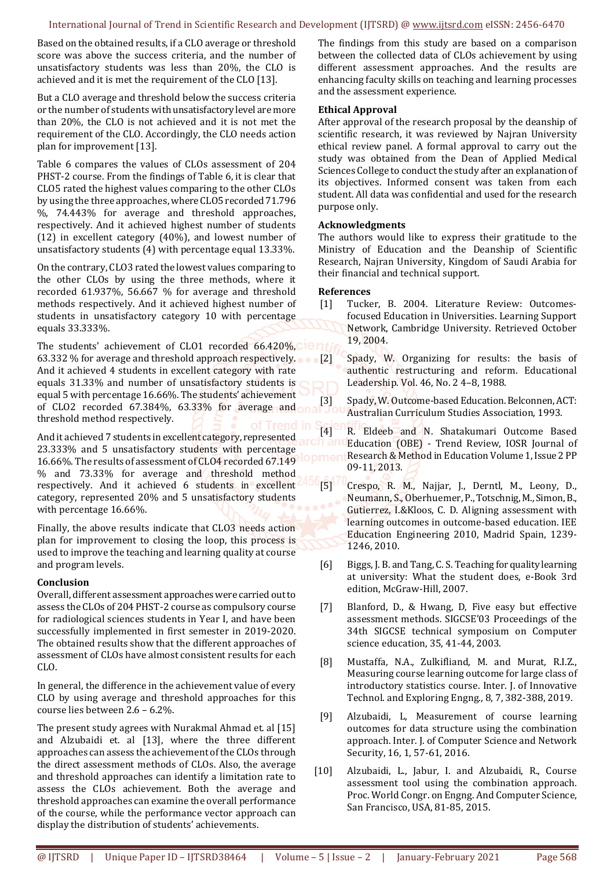#### International Journal of Trend in Scientific Research and Development (IJTSRD) @ www.ijtsrd.com eISSN: 2456-6470

Based on the obtained results, if a CLO average or threshold score was above the success criteria, and the number of unsatisfactory students was less than 20%, the CLO is achieved and it is met the requirement of the CLO [13].

But a CLO average and threshold below the success criteria or the number of students with unsatisfactory level are more than 20%, the CLO is not achieved and it is not met the requirement of the CLO. Accordingly, the CLO needs action plan for improvement [13].

Table 6 compares the values of CLOs assessment of 204 PHST-2 course. From the findings of Table 6, it is clear that CLO5 rated the highest values comparing to the other CLOs by using the three approaches, where CLO5 recorded 71.796 %, 74.443% for average and threshold approaches, respectively. And it achieved highest number of students (12) in excellent category (40%), and lowest number of unsatisfactory students (4) with percentage equal 13.33%.

On the contrary, CLO3 rated the lowest values comparing to the other CLOs by using the three methods, where it recorded 61.937%, 56.667 % for average and threshold methods respectively. And it achieved highest number of students in unsatisfactory category 10 with percentage equals 33.333%.

The students' achievement of CLO1 recorded 66.420%, Lein 63.332 % for average and threshold approach respectively. And it achieved 4 students in excellent category with rate equals 31.33% and number of unsatisfactory students is equal 5 with percentage 16.66%. The students' achievement of CLO2 recorded 67.384%, 63.33% for average and threshold method respectively.

And it achieved 7 students in excellent category, represented 23.333% and 5 unsatisfactory students with percentage 16.66%. The results of assessment of CLO4 recorded 67.149 % and 73.33% for average and threshold method respectively. And it achieved 6 students in excellent category, represented 20% and 5 unsatisfactory students with percentage 16.66%.

Finally, the above results indicate that CLO3 needs action plan for improvement to closing the loop, this process is used to improve the teaching and learning quality at course and program levels.

## **Conclusion**

Overall, different assessment approaches were carried out to assess the CLOs of 204 PHST-2 course as compulsory course for radiological sciences students in Year I, and have been successfully implemented in first semester in 2019-2020. The obtained results show that the different approaches of assessment of CLOs have almost consistent results for each CLO.

In general, the difference in the achievement value of every CLO by using average and threshold approaches for this course lies between 2.6 – 6.2%.

The present study agrees with Nurakmal Ahmad et. al [15] and Alzubaidi et. al [13], where the three different approaches can assess the achievement of the CLOs through the direct assessment methods of CLOs. Also, the average and threshold approaches can identify a limitation rate to assess the CLOs achievement. Both the average and threshold approaches can examine the overall performance of the course, while the performance vector approach can display the distribution of students' achievements.

The findings from this study are based on a comparison between the collected data of CLOs achievement by using different assessment approaches. And the results are enhancing faculty skills on teaching and learning processes and the assessment experience.

## **Ethical Approval**

After approval of the research proposal by the deanship of scientific research, it was reviewed by Najran University ethical review panel. A formal approval to carry out the study was obtained from the Dean of Applied Medical Sciences College to conduct the study after an explanation of its objectives. Informed consent was taken from each student. All data was confidential and used for the research purpose only.

## **Acknowledgments**

The authors would like to express their gratitude to the Ministry of Education and the Deanship of Scientific Research, Najran University, Kingdom of Saudi Arabia for their financial and technical support.

## **References**

- [1] Tucker, B. 2004. Literature Review: Outcomesfocused Education in Universities. Learning Support Network, Cambridge University. Retrieved October 19, 2004.
	- Spady, W. Organizing for results: the basis of authentic restructuring and reform. Educational Leadership. Vol. 46, No. 2 4–8, 1988.
- [3] Spady, W. Outcome-based Education. Belconnen, ACT: Australian Curriculum Studies Association, 1993.
- [4] R. Eldeeb and N. Shatakumari Outcome Based Education (OBE) - Trend Review, IOSR Journal of Research & Method in Education Volume 1, Issue 2 PP 09-11, 2013.
- [5] Crespo, R. M., Najjar, J., Derntl, M., Leony, D., Neumann, S., Oberhuemer, P., Totschnig, M., Simon, B., Gutierrez, I.&Kloos, C. D. Aligning assessment with learning outcomes in outcome-based education. IEE Education Engineering 2010, Madrid Spain, 1239- 1246, 2010.
- [6] Biggs, J. B. and Tang, C. S. Teaching for quality learning at university: What the student does, e-Book 3rd edition, McGraw-Hill, 2007.
- [7] Blanford, D., & Hwang, D, Five easy but effective assessment methods. SIGCSE'03 Proceedings of the 34th SIGCSE technical symposium on Computer science education, 35, 41-44, 2003.
- [8] Mustaffa, N.A., Zulkifliand, M. and Murat, R.I.Z., Measuring course learning outcome for large class of introductory statistics course. Inter. J. of Innovative Technol. and Exploring Engng., 8, 7, 382-388, 2019.
- [9] Alzubaidi, L, Measurement of course learning outcomes for data structure using the combination approach. Inter. J. of Computer Science and Network Security, 16, 1, 57-61, 2016.
- [10] Alzubaidi, L., Jabur, I. and Alzubaidi, R., Course assessment tool using the combination approach. Proc. World Congr. on Engng. And Computer Science, San Francisco, USA, 81-85, 2015.